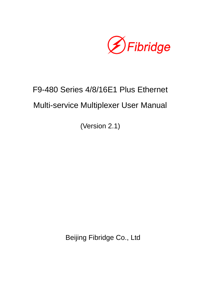

# F9-480 Series 4/8/16E1 Plus Ethernet Multi-service Multiplexer User Manual

(Version 2.1)

Beijing Fibridge Co., Ltd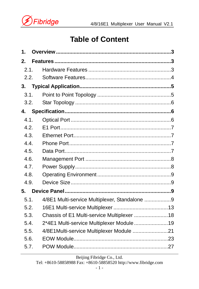

## **Table of Content**

| 1.   |                                               |  |  |  |  |  |
|------|-----------------------------------------------|--|--|--|--|--|
| 2.   |                                               |  |  |  |  |  |
| 2.1. |                                               |  |  |  |  |  |
| 2.2. |                                               |  |  |  |  |  |
| 3.   |                                               |  |  |  |  |  |
| 3.1. |                                               |  |  |  |  |  |
| 3.2. |                                               |  |  |  |  |  |
| 4.   |                                               |  |  |  |  |  |
| 4.1. |                                               |  |  |  |  |  |
| 4.2. |                                               |  |  |  |  |  |
| 4.3. |                                               |  |  |  |  |  |
| 4.4. |                                               |  |  |  |  |  |
| 4.5. |                                               |  |  |  |  |  |
| 4.6. |                                               |  |  |  |  |  |
| 4.7. |                                               |  |  |  |  |  |
| 4.8. |                                               |  |  |  |  |  |
| 4.9. |                                               |  |  |  |  |  |
| 5.   |                                               |  |  |  |  |  |
| 5.1. | 4/8E1 Multi-service Multiplexer, Standalone 9 |  |  |  |  |  |
| 5.2. |                                               |  |  |  |  |  |
| 5.3. | Chassis of E1 Multi-service Multiplexer  18   |  |  |  |  |  |
| 5.4. | 2*4E1 Multi-service Multiplexer Module19      |  |  |  |  |  |
| 5.5. | 4/8E1Multi-service Multiplexer Module 21      |  |  |  |  |  |
| 5.6. |                                               |  |  |  |  |  |
| 5.7. |                                               |  |  |  |  |  |

Beijing Fibridge Co., Ltd.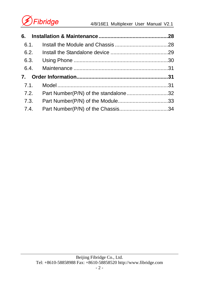

| 6.1. |                                           |  |  |  |  |
|------|-------------------------------------------|--|--|--|--|
|      |                                           |  |  |  |  |
|      |                                           |  |  |  |  |
|      |                                           |  |  |  |  |
|      |                                           |  |  |  |  |
|      |                                           |  |  |  |  |
|      | 7.2. Part Number(P/N) of the standalone32 |  |  |  |  |
|      |                                           |  |  |  |  |
|      |                                           |  |  |  |  |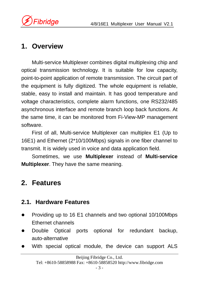

## **1. Overview**

Multi-service Multiplexer combines digital multiplexing chip and optical transmission technology. It is suitable for low capacity, point-to-point application of remote transmission. The circuit part of the equipment is fully digitized. The whole equipment is reliable, stable, easy to install and maintain. It has good temperature and voltage characteristics, complete alarm functions, one RS232/485 asynchronous interface and remote branch loop back functions. At the same time, it can be monitored from Fi-View-MP management software.

First of all, Multi-service Multiplexer can multiplex E1 (Up to 16E1) and Ethernet (2\*10/100Mbps) signals in one fiber channel to transmit. It is widely used in voice and data application field.

Sometimes, we use **Multiplexer** instead of **Multi-service Multiplexer**. They have the same meaning.

## **2. Features**

### **2.1. Hardware Features**

- Providing up to 16 E1 channels and two optional 10/100Mbps Ethernet channels
- Double Optical ports optional for redundant backup, auto-alternative
- With special optical module, the device can support ALS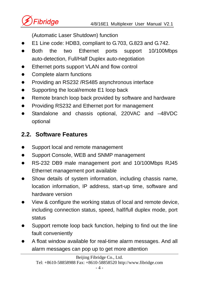

(Automatic Laser Shutdown) function

- z E1 Line code: HDB3, compliant to G.703, G.823 and G.742.
- Both the two Ethernet ports support 10/100Mbps auto-detection, Full/Half Duplex auto-negotiation
- Ethernet ports support VLAN and flow control
- Complete alarm functions
- Providing an RS232 /RS485 asynchronous interface
- Supporting the local/remote E1 loop back
- Remote branch loop back provided by software and hardware
- Providing RS232 and Ethernet port for management
- Standalone and chassis optional, 220VAC and -48VDC optional

## **2.2. Software Features**

- Support local and remote management
- Support Console, WEB and SNMP management
- RS-232 DB9 male management port and 10/100Mbps RJ45 Ethernet management port available
- Show details of system information, including chassis name, location information, IP address, start-up time, software and hardware version
- View & configure the working status of local and remote device, including connection status, speed, half/full duplex mode, port status
- Support remote loop back function, helping to find out the line fault conveniently
- A float window available for real-time alarm messages. And all alarm messages can pop up to get more attention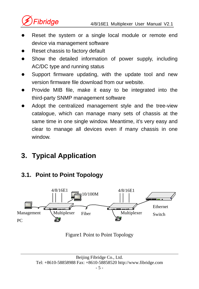

- Reset the system or a single local module or remote end device via management software
- Reset chassis to factory default
- Show the detailed information of power supply, including AC/DC type and running status
- Support firmware updating, with the update tool and new version firmware file download from our website.
- Provide MIB file, make it easy to be integrated into the third-party SNMP management software
- Adopt the centralized management style and the tree-view catalogue, which can manage many sets of chassis at the same time in one single window. Meantime, it's very easy and clear to manage all devices even if many chassis in one window.

## **3. Typical Application**

## **3.1. Point to Point Topology**



#### Figure1 Point to Point Topology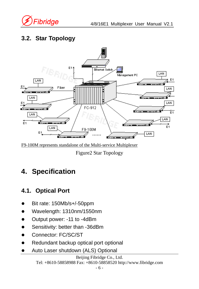

## **3.2. Star Topology**



F9-100M represents standalone of the Multi-service Multiplexer

Figure2 Star Topology

## **4. Specification**

## **4.1. Optical Port**

- Bit rate: 150Mb/s+/-50ppm
- z Wavelength: 1310nm/1550nm
- Output power: -11 to -4dBm
- Sensitivity: better than -36dBm
- Connector: FC/SC/ST
- Redundant backup optical port optional
- Auto Laser shutdown (ALS) Optional

Beijing Fibridge Co., Ltd. Tel: +8610-58858988 Fax: +8610-58858520 http://www.fibridge.com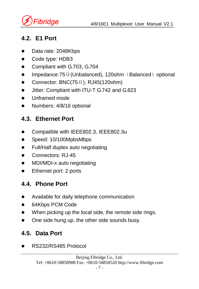

### **4.2. E1 Port**

- Data rate: 2048Kbps
- Code type: HDB3
- Compliant with G.703, G.704
- Impedance:75Ω(Unbalanced), 120ohm (Balanced) optional
- Connector: BNC(75 $\Omega$ ), RJ45(120ohm)
- Jitter: Compliant with ITU-T G.742 and G.823
- Unframed mode
- Numbers: 4/8/16 optional

## **4.3. Ethernet Port**

- Compatible with IEEE802.3, IEEE802.3u
- Speed: 10/100MpbsMbps
- Full/Half duplex auto negotiating
- Connectors: RJ-45
- MDI/MDI-x auto negotiating
- Ethernet port: 2 ports

## **4.4. Phone Port**

- Available for daily telephone communication
- 64Kbps PCM Code
- When picking up the local side, the remote side rings.
- One side hung up, the other side sounds busy.

## **4.5. Data Port**

z RS232/RS485 Protocol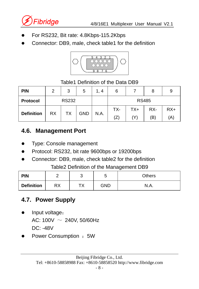

- For RS232, Bit rate: 4.8Kbps-115.2Kbps
- Connector: DB9, male, check table1 for the definition



#### Table1 Definition of the Data DB9

| <b>PIN</b>        | 2                             | 3            | 5 | 1, 4 | 6   |              | 8   | 9     |
|-------------------|-------------------------------|--------------|---|------|-----|--------------|-----|-------|
| <b>Protocol</b>   |                               | <b>RS232</b> |   |      |     | <b>RS485</b> |     |       |
|                   |                               |              |   |      | TX- | TX+          | RX- | $RX+$ |
| <b>Definition</b> | <b>GND</b><br><b>RX</b><br>ТX |              |   | N.A. | (Z) |              | (B) | (A`   |

## **4.6. Management Port**

- Type: Console management
- Protocol: RS232, bit rate 9600bps or 19200bps
- Connector: DB9, male, check table2 for the definition

Table2 Definition of the Management DB9

| <b>PIN</b>        |    |          | ັ          | Others |
|-------------------|----|----------|------------|--------|
| <b>Definition</b> | RX | т۱,<br>. | <b>GND</b> | N.A.   |

## **4.7. Power Supply**

- Input voltage: AC:  $100V \sim 240V$ , 50/60Hz DC: -48V
- Power Consumption : 5W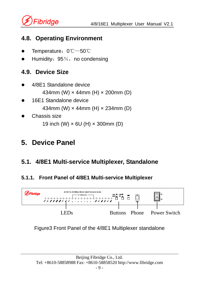

### **4.8. Operating Environment**

- Temperature: 0℃—50℃
- Humidity: 95%, no condensing

## **4.9. Device Size**

- z 4/8E1 Standalone device 434mm (W) × 44mm (H) × 200mm (D)
- 16E1 Standalone device 434mm (W) × 44mm (H) × 234mm (D)
- Chassis size 19 inch (W) × 6U (H) × 300mm (D)

## **5. Device Panel**

## **5.1. 4/8E1 Multi-service Multiplexer, Standalone**

#### **5.1.1. Front Panel of 4/8E1 Multi-service Multiplexer**



#### Figure3 Front Panel of the 4/8E1 Multiplexer standalone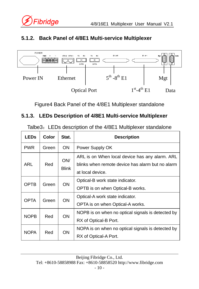

#### **5.1.2. Back Panel of 4/8E1 Multi-service Multiplexer**



Figure4 Back Panel of the 4/8E1 Multiplexer standalone

#### **5.1.3. LEDs Description of 4/8E1 Multi-service Multiplexer**

| Talbe3: LEDs description of the 4/8E1 Multiplexer standalone |  |  |
|--------------------------------------------------------------|--|--|
|                                                              |  |  |

| <b>LEDs</b> | Color | Stat.               | <b>Description</b>                                                                                                     |
|-------------|-------|---------------------|------------------------------------------------------------------------------------------------------------------------|
| <b>PWR</b>  | Green | <b>ON</b>           | Power Supply OK                                                                                                        |
| ARL         | Red   | ON/<br><b>Blink</b> | ARL is on When local device has any alarm. ARL<br>blinks when remote device has alarm but no alarm<br>at local device. |
| <b>OPTB</b> | Green | <b>ON</b>           | Optical-B work state indicator.<br>OPTB is on when Optical-B works.                                                    |
| <b>OPTA</b> | Green | <b>ON</b>           | Optical-A work state indicator.<br>OPTA is on when Optical-A works.                                                    |
| <b>NOPB</b> | Red   | <b>ON</b>           | NOPB is on when no optical signals is detected by<br>RX of Optical-B Port.                                             |
| <b>NOPA</b> | Red   | ON.                 | NOPA is on when no optical signals is detected by<br>RX of Optical-A Port.                                             |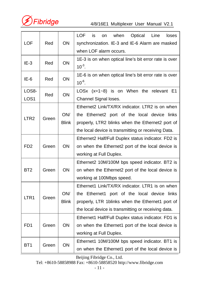

4/8/16E1 Multiplexer User Manual V2.1

| LOF                       | Red   | ON                  | <b>LOF</b><br>Optical<br>is<br>when<br>Line<br>loses<br>on<br>synchronization. IE-3 and IE-6 Alarm are masked<br>when LOF alarm occurs.                                                                    |
|---------------------------|-------|---------------------|------------------------------------------------------------------------------------------------------------------------------------------------------------------------------------------------------------|
| $IE-3$                    | Red   | ON                  | 1E-3 is on when optical line's bit error rate is over<br>$10^{-3}$ .                                                                                                                                       |
| $IE-6$                    | Red   | ON                  | 1E-6 is on when optical line's bit error rate is over<br>$10^{-6}$ .                                                                                                                                       |
| LOS8-<br>LOS <sub>1</sub> | Red   | ON                  | LOSx $(x=1-8)$ is on When the relevant E1<br>Channel Signal loses.                                                                                                                                         |
| LTR <sub>2</sub>          | Green | ON/<br><b>Blink</b> | Ethernet2 Link/TX/RX indicator, LTR2 is on when<br>the Ethernet2 port of the local device links<br>properly, LTR2 blinks when the Ethernet2 port of<br>the local device is transmitting or receiving Data. |
| FD <sub>2</sub>           | Green | ON                  | Ethernet2 Half/Full Duplex status indicator. FD2 is<br>on when the Ethernet2 port of the local device is<br>working at Full Duplex.                                                                        |
| BT <sub>2</sub>           | Green | OΝ                  | Ethernet2 10M/100M bps speed indicator. BT2 is<br>on when the Ethernet2 port of the local device is<br>working at 100Mbps speed.                                                                           |
| LTR <sub>1</sub>          | Green | ON/<br><b>Blink</b> | Ethernet1 Link/TX/RX indicator, LTR1 is on when<br>the Ethernet1 port of the local device links<br>properly, LTR 1blinks when the Ethernet1 port of<br>the local device is transmitting or receiving data. |
| FD <sub>1</sub>           | Green | ON                  | Ethernet1 Half/Full Duplex status indicator. FD1 is<br>on when the Ethernet1 port of the local device is<br>working at Full Duplex.                                                                        |
| BT <sub>1</sub>           | Green | ON                  | Ethernet1 10M/100M bps speed indicator. BT1 is<br>on when the Ethernet1 port of the local device is                                                                                                        |

Beijing Fibridge Co., Ltd.

Tel: +8610-58858988 Fax: +8610-58858520 http://www.fibridge.com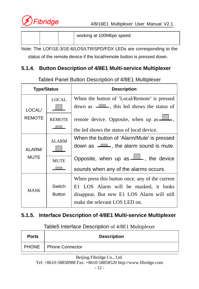

|  |  | working at 100Mbps speed. |
|--|--|---------------------------|
|  |  |                           |

Note: The LOF/1E-3/1E-6/LOS/LTR/SPD/FDX LEDs are corresponding to the status of the remote device if the local/remote button is pressed down.

#### **5.1.4. Button Description of 4/8E1 Multi-service Multiplexer**

| <b>Type/Status</b>    |                                                  | <b>Description</b>                                                                                                                                                      |  |  |
|-----------------------|--------------------------------------------------|-------------------------------------------------------------------------------------------------------------------------------------------------------------------------|--|--|
| LOCAL/                | <b>LOCAL</b>                                     | When the button of 'Local/Remote' is pressed<br>down as $\Box \Box$ , this led shows the status of                                                                      |  |  |
| <b>REMOTE</b>         | <b>REMOTE</b>                                    | remote device. Opposite, when up as <b>whene</b> ,<br>the led shows the status of local device.                                                                         |  |  |
| ALARM/<br><b>MUTE</b> | <b>ALARM</b>                                     | When the button of 'Alarm/Mute' is pressed<br>down as $\Box$ , the alarm sound is mute.                                                                                 |  |  |
|                       | <b>MUTE</b><br><b>Contract Contract Contract</b> | Opposite, when up as $\Box$ , the device<br>sounds when any of the alarms occurs.                                                                                       |  |  |
| <b>MASK</b>           | Switch<br><b>Button</b>                          | When press this button once, any of the current<br>El LOS Alarm will be masked, it looks<br>disappear. But new E1 LOS Alarm will still<br>make the relevant LOS LED on. |  |  |

Table4 Panel Button Description of 4/8E1 Multiplexer

#### **5.1.5. Interface Description of 4/8E1 Multi-service Multiplexer**

Table5 Interface Description of 4/8E1 Multiplexer

| <b>Ports</b> |                              | <b>Description</b> |
|--------------|------------------------------|--------------------|
|              | <b>PHONE</b> Phone Connector |                    |

Beijing Fibridge Co., Ltd. Tel: +8610-58858988 Fax: +8610-58858520 http://www.fibridge.com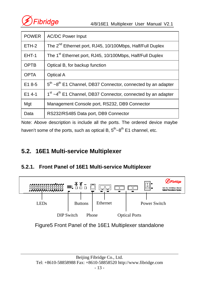

| <b>POWER</b> | <b>AC/DC Power Input</b>                                                             |  |  |  |
|--------------|--------------------------------------------------------------------------------------|--|--|--|
| ETH-2        | The 2 <sup>nd</sup> Ethernet port, RJ45, 10/100Mbps, Half/Full Duplex                |  |  |  |
| EHT-1        | The 1 <sup>st</sup> Ethernet port, RJ45, 10/100Mbps, Half/Full Duplex                |  |  |  |
| <b>OPTB</b>  | Optical B, for backup function                                                       |  |  |  |
| <b>OPTA</b>  | Optical A                                                                            |  |  |  |
| $E18-5$      | $5th$ ~8 <sup>th</sup> E1 Channel, DB37 Connector, connected by an adapter           |  |  |  |
| $E14-1$      | 1 <sup>st</sup> ~4 <sup>th</sup> E1 Channel, DB37 Connector, connected by an adapter |  |  |  |
| Mgt          | Management Console port, RS232, DB9 Connector                                        |  |  |  |
| Data         | RS232/RS485 Data port, DB9 Connector                                                 |  |  |  |

Note: Above description is include all the ports. The ordered device maybe haven't some of the ports, such as optical B,  $5<sup>th</sup>~8<sup>th</sup>$  E1 channel, etc.

### **5.2. 16E1 Multi-service Multiplexer**

#### **5.2.1. Front Panel of 16E1 Multi-service Multiplexer**



Figure5 Front Panel of the 16E1 Multiplexer standalone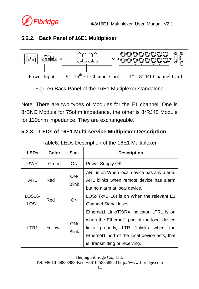#### **5.2.2. Back Panel of 16E1 Multiplexer**



Figure6 Back Panel of the 16E1 Multiplexer standalone

Note: There are two types of Modules for the E1 channel. One is 8\*BNC Module for 75ohm impedance, the other is 8\*RJ45 Module for 120ohm impedance. They are exchangeable.

#### **5.2.3. LEDs of 16E1 Multi-service Multiplexer Description**

| <b>LEDs</b>                | Color  | Stat.               | <b>Description</b>                                                                                                                                                                                                         |
|----------------------------|--------|---------------------|----------------------------------------------------------------------------------------------------------------------------------------------------------------------------------------------------------------------------|
| <b>PWR</b>                 | Green  | <b>ON</b>           | Power Supply OK                                                                                                                                                                                                            |
| ARL                        | Red    | ON/<br><b>Blink</b> | ARL is on When local device has any alarm.<br>ARL blinks when remote device has alarm<br>but no alarm at local device.                                                                                                     |
| LOS16-<br>LOS <sub>1</sub> | Red    | <b>ON</b>           | LOSx $(x=1-16)$ is on When the relevant E1<br>Channel Signal loses.                                                                                                                                                        |
| LTR <sub>1</sub>           | Yellow | ON/<br><b>Blink</b> | Ethernet1 Link/TX/RX indicator. LTR1 is on<br>when the Ethernet1 port of the local device<br>properly, LTR 1blinks when<br>links<br>the<br>Ethernet1 port of the local device acts, that<br>is, transmitting or receiving. |

Table6: LEDs Description of the 16E1 Multiplexer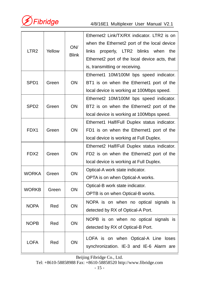

4/8/16E1 Multiplexer User Manual V2.1

| LTR <sub>2</sub> | Yellow | ON/<br><b>Blink</b> | Ethernet2 Link/TX/RX indicator, LTR2 is on<br>when the Ethernet2 port of the local device<br>links<br>properly, LTR2 blinks when<br>the<br>Ethernet2 port of the local device acts, that<br>is, transmitting or receiving. |
|------------------|--------|---------------------|----------------------------------------------------------------------------------------------------------------------------------------------------------------------------------------------------------------------------|
| SPD <sub>1</sub> | Green  | ON                  | Ethernet1 10M/100M bps speed indicator.<br>BT1 is on when the Ethernet1 port of the<br>local device is working at 100Mbps speed.                                                                                           |
| SP <sub>D2</sub> | Green  | ON                  | Ethernet2 10M/100M bps speed indicator.<br>BT2 is on when the Ethernet2 port of the<br>local device is working at 100Mbps speed.                                                                                           |
| FDX1             | Green  | ON                  | Ethernet1 Half/Full Duplex status indicator.<br>FD1 is on when the Ethernet1 port of the<br>local device is working at Full Duplex.                                                                                        |
| FDX <sub>2</sub> | Green  | ON                  | Ethernet2 Half/Full Duplex status indicator.<br>FD2 is on when the Ethernet2 port of the<br>local device is working at Full Duplex.                                                                                        |
| <b>WORKA</b>     | Green  | ON                  | Optical-A work state indicator.<br>OPTA is on when Optical-A works.                                                                                                                                                        |
| <b>WORKB</b>     | Green  | ON                  | Optical-B work state indicator.<br>OPTB is on when Optical-B works.                                                                                                                                                        |
| <b>NOPA</b>      | Red    | ON                  | NOPA is on when no optical signals is<br>detected by RX of Optical-A Port.                                                                                                                                                 |
| <b>NOPB</b>      | Red    | OΝ                  | NOPB is on when no optical signals is<br>detected by RX of Optical-B Port.                                                                                                                                                 |
| <b>LOFA</b>      | Red    | ON                  | LOFA is on when Optical-A Line loses<br>synchronization. IE-3 and IE-6 Alarm are                                                                                                                                           |

Beijing Fibridge Co., Ltd.

Tel: +8610-58858988 Fax: +8610-58858520 http://www.fibridge.com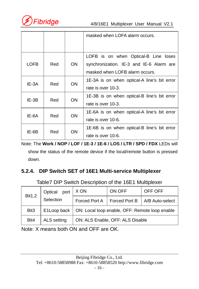

4/8/16E1 Multiplexer User Manual V2.1

|         |     |     | masked when LOFA alarm occurs.                                                                                     |
|---------|-----|-----|--------------------------------------------------------------------------------------------------------------------|
| LOFB    | Red | ON. | LOFB is on when Optical-B Line loses<br>synchronization. IE-3 and IE-6 Alarm are<br>masked when LOFB alarm occurs. |
| IE-3A   | Red | ON. | 1E-3A is on when optical-A line's bit error<br>rate is over 10-3.                                                  |
| $IE-3B$ | Red | ON  | 1E-3B is on when optical-B line's bit error<br>rate is over 10-3.                                                  |
| IE-6A   | Red | OΝ  | 1E-6A is on when optical-A line's bit error<br>rate is over 10-6.                                                  |
| IE-6B   | Red | OΝ  | 1E-6B is on when optical-B line's bit error<br>rate is over 10-6.                                                  |

Note: The **Work / NOP / LOF / 1E-3 / 1E-6 / LOS / LTR / SPD / FDX** LEDs will show the status of the remote device if the local/remote button is pressed down.

#### **5.2.4. DIP Switch SET of 16E1 Multi-service Multiplexer**

Table7 DIP Switch Description of the 16E1 Multiplexer

| <b>Bit1,2</b>    | Optical port | X ON                             | ON OFF        | OFF OFF                                        |
|------------------|--------------|----------------------------------|---------------|------------------------------------------------|
|                  | Selection    | Forced Port A                    | Forced Port B | A/B Auto-select                                |
| Bit <sub>3</sub> | E1Loop back  |                                  |               | ON: Local loop enable, OFF: Remote loop enable |
| Bit4             | ALS setting  | ON: ALS Enable, OFF: ALS Disable |               |                                                |

Note: X means both ON and OFF are OK.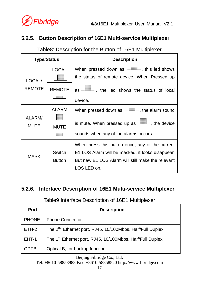#### **5.2.5. Button Description of 16E1 Multi-service Multiplexer**

#### Table8: Description for the Button of 16E1 Multiplexer

|                | <b>Type/Status</b>          | <b>Description</b>                                                                                                                                                      |
|----------------|-----------------------------|-------------------------------------------------------------------------------------------------------------------------------------------------------------------------|
| LOCAL/         | LOCAL                       | When pressed down as <b>ITTLE</b> , this led shows<br>the status of remote device. When Pressed up                                                                      |
| <b>REMOTE</b>  | <b>REMOTE</b>               | as <u>I</u> , the led shows the status of local<br>device.                                                                                                              |
| ALARM/<br>MUTE | <b>ALARM</b><br><b>MUTE</b> | When pressed down as <b>ITTLE</b> , the alarm sound<br>is mute. When pressed up as <b>ITTL</b> , the device<br>sounds when any of the alarms occurs.                    |
| <b>MASK</b>    | Switch<br><b>Button</b>     | When press this button once, any of the current<br>E1 LOS Alarm will be masked, it looks disappear.<br>But new E1 LOS Alarm will still make the relevant<br>LOS LED on. |

#### **5.2.6. Interface Description of 16E1 Multi-service Multiplexer**

#### Table9 Interface Description of 16E1 Multiplexer

| Port         | <b>Description</b>                                                    |
|--------------|-----------------------------------------------------------------------|
| <b>PHONE</b> | <b>Phone Connector</b>                                                |
| ETH-2        | The 2 <sup>nd</sup> Ethernet port, RJ45, 10/100Mbps, Half/Full Duplex |
| EHT-1        | The 1 <sup>st</sup> Ethernet port, RJ45, 10/100Mbps, Half/Full Duplex |
| <b>OPTB</b>  | Optical B, for backup function                                        |

Beijing Fibridge Co., Ltd.

Tel: +8610-58858988 Fax: +8610-58858520 http://www.fibridge.com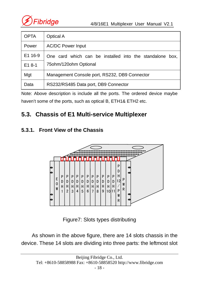

| OPTA    | Optical A                                                |  |  |  |  |  |  |
|---------|----------------------------------------------------------|--|--|--|--|--|--|
| Power   | <b>AC/DC Power Input</b>                                 |  |  |  |  |  |  |
| E1 16-9 | One card which can be installed into the standalone box, |  |  |  |  |  |  |
| $E18-1$ | 75 ohm/120 ohm Optional                                  |  |  |  |  |  |  |
| Mat     | Management Console port, RS232, DB9 Connector            |  |  |  |  |  |  |
| Data    | RS232/RS485 Data port, DB9 Connector                     |  |  |  |  |  |  |

Note: Above description is include all the ports. The ordered device maybe haven't some of the ports, such as optical B, ETH1& ETH2 etc.

## **5.3. Chassis of E1 Multi-service Multiplexer**

#### **5.3.1. Front View of the Chassis**



Figure7: Slots types distributing

As shown in the above figure, there are 14 slots chassis in the device. These 14 slots are dividing into three parts: the leftmost slot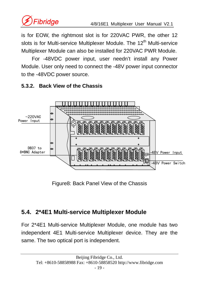

is for EOW, the rightmost slot is for 220VAC PWR, the other 12 slots is for Multi-service Multiplexer Module. The  $12<sup>th</sup>$  Multi-service Multiplexer Module can also be installed for 220VAC PWR Module.

For -48VDC power input, user needn't install any Power Module. User only need to connect the -48V power input connector to the -48VDC power source.



#### **5.3.2. Back View of the Chassis**

Figure8: Back Panel View of the Chassis

## **5.4. 2\*4E1 Multi-service Multiplexer Module**

For 2\*4E1 Multi-service Multiplexer Module, one module has two independent 4E1 Multi-service Multiplexer device. They are the same. The two optical port is independent.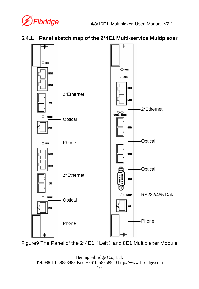

#### **5.4.1. Panel sketch map of the 2\*4E1 Multi-service Multiplexer**



Figure9 The Panel of the 2\*4E1 (Left) and 8E1 Multiplexer Module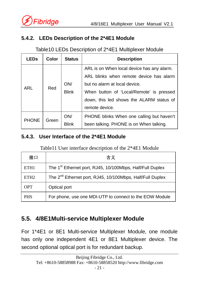

#### **5.4.2. LEDs Description of the 2\*4E1 Module**

#### Table10 LEDs Description of 2\*4E1 Multiplexer Module

| <b>LEDs</b>  | Color | <b>Status</b> | <b>Description</b>                         |
|--------------|-------|---------------|--------------------------------------------|
| ARL          | Red   |               | ARL is on When local device has any alarm. |
|              |       |               | ARL blinks when remote device has alarm    |
|              |       | ON/           | but no alarm at local device.              |
|              |       | <b>Blink</b>  | When button of 'Local/Remote' is pressed   |
|              |       |               | down, this led shows the ALARM status of   |
|              |       |               | remote device.                             |
| <b>PHONE</b> | Green | ON/           | PHONE blinks When one calling but haven't  |
|              |       | <b>Blink</b>  | been talking. PHONE is on When talking.    |

#### **5.4.3. User Interface of the 2\*4E1 Module**

#### Table11 User interface description of the 2\*4E1 Module

| 接口               | 含义                                                                    |
|------------------|-----------------------------------------------------------------------|
| ETH <sub>1</sub> | The 1 <sup>st</sup> Ethernet port, RJ45, 10/100Mbps, Half/Full Duplex |
| ETH <sub>2</sub> | The 2 <sup>nd</sup> Ethernet port, RJ45, 10/100Mbps, Half/Full Duplex |
| <b>OPT</b>       | Optical port                                                          |
| <b>PHS</b>       | For phone, use one MDI-UTP to connect to the EOW Module               |

### **5.5. 4/8E1Multi-service Multiplexer Module**

For 1\*4E1 or 8E1 Multi-service Multiplexer Module, one module has only one independent 4E1 or 8E1 Multiplexer device. The second optional optical port is for redundant backup.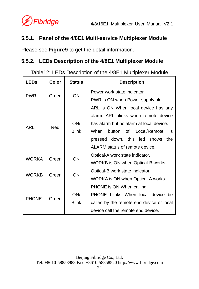#### **5.5.1. Panel of the 4/8E1 Multi-service Multiplexer Module**

Please see **Figure9** to get the detail information.

#### **5.5.2. LEDs Description of the 4/8E1 Multiplexer Module**

Table12: LEDs Description of the 4/8E1 Multiplexer Module

| <b>LEDs</b>  | Color | <b>Status</b> | <b>Description</b>                       |
|--------------|-------|---------------|------------------------------------------|
| <b>PWR</b>   | Green | ON            | Power work state indicator.              |
|              |       |               | PWR is ON when Power supply ok.          |
|              |       |               | ARL is ON When local device has any      |
|              |       |               | alarm. ARL blinks when remote device     |
| ARL          | Red   | ON/           | has alarm but no alarm at local device.  |
|              |       | <b>Blink</b>  | button of 'Local/Remote'<br>When<br>is.  |
|              |       |               | pressed down, this led shows<br>the      |
|              |       |               | ALARM status of remote device.           |
| <b>WORKA</b> | Green | ON            | Optical-A work state indicator.          |
|              |       |               | WORKB is ON when Optical-B works.        |
| <b>WORKB</b> | Green | ON            | Optical-B work state indicator.          |
|              |       |               | WORKA is ON when Optical-A works.        |
|              |       |               | PHONE is ON When calling.                |
| <b>PHONE</b> | Green | ON/           | PHONE blinks When local device be        |
|              |       | <b>Blink</b>  | called by the remote end device or local |
|              |       |               | device call the remote end device.       |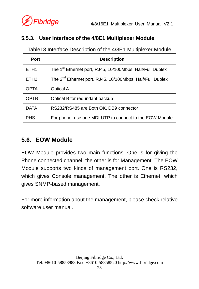#### **5.5.3. User Interface of the 4/8E1 Multiplexer Module**

Table13 Interface Description of the 4/8E1 Multiplexer Module

| Port             | <b>Description</b>                                                    |
|------------------|-----------------------------------------------------------------------|
| ETH <sub>1</sub> | The 1 <sup>st</sup> Ethernet port, RJ45, 10/100Mbps, Half/Full Duplex |
| ETH <sub>2</sub> | The 2 <sup>nd</sup> Ethernet port, RJ45, 10/100Mbps, Half/Full Duplex |
| <b>OPTA</b>      | Optical A                                                             |
| <b>OPTB</b>      | Optical B for redundant backup                                        |
| <b>DATA</b>      | RS232/RS485 are Both OK, DB9 connector                                |
| <b>PHS</b>       | For phone, use one MDI-UTP to connect to the EOW Module               |

## **5.6. EOW Module**

EOW Module provides two main functions. One is for giving the Phone connected channel, the other is for Management. The EOW Module supports two kinds of management port. One is RS232, which gives Console management. The other is Ethernet, which gives SNMP-based management.

For more information about the management, please check relative software user manual.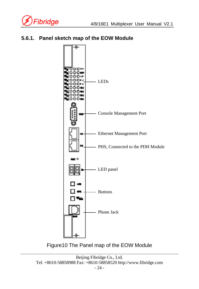





Figure10 The Panel map of the EOW Module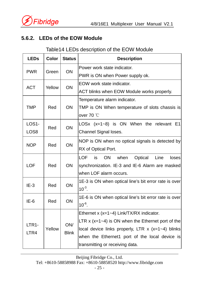

#### **5.6.2. LEDs of the EOW Module**

#### Table14 LEDs description of the EOW Module

| <b>LEDs</b>                | Color  | <b>Status</b>       | <b>Description</b>                                         |
|----------------------------|--------|---------------------|------------------------------------------------------------|
| <b>PWR</b>                 |        |                     | Power work state indicator.                                |
|                            | Green  | ON                  | PWR is ON when Power supply ok.                            |
| <b>ACT</b>                 | Yellow |                     | EOW work state indicator.                                  |
|                            |        | <b>ON</b>           | ACT blinks when EOW Module works properly.                 |
|                            |        |                     | Temperature alarm indicator.                               |
| <b>TMP</b>                 | Red    | ON                  | TMP is ON When temperature of slots chassis is             |
|                            |        |                     | over 70 $°C$                                               |
| LOS1-                      | Red    | ON                  | LOSx $(x=1-8)$ is ON When the relevant E1                  |
| LOS8                       |        |                     | Channel Signal loses.                                      |
|                            | Red    | ON                  | NOP is ON when no optical signals is detected by           |
| <b>NOP</b>                 |        |                     | RX of Optical Port.                                        |
|                            |        |                     | LOF<br>is<br><b>ON</b><br>when<br>Optical<br>Line<br>loses |
| <b>LOF</b>                 | Red    | ON                  | synchronization. IE-3 and IE-6 Alarm are masked            |
|                            |        |                     | when LOF alarm occurs.                                     |
|                            |        | ON                  | 1E-3 is ON when optical line's bit error rate is over      |
| $IE-3$                     | Red    |                     | $10^{-3}$ .                                                |
| $IE-6$                     | Red    |                     | 1E-6 is ON when optical line's bit error rate is over      |
|                            |        | ON                  | $10^{-6}$ .                                                |
|                            |        |                     | Ethernet x (x=1~4) Link/TX/RX indicator.                   |
| LTR <sub>1</sub> -<br>LTR4 |        | ON/<br><b>Blink</b> | LTR $x$ ( $x=1-4$ ) is ON when the Ethernet port of the    |
|                            | Yellow |                     | local device links properly, LTR $x$ (x=1~4) blinks        |
|                            |        |                     | when the Ethernet1 port of the local device is             |
|                            |        |                     | transmitting or receiving data.                            |

Beijing Fibridge Co., Ltd.

Tel: +8610-58858988 Fax: +8610-58858520 http://www.fibridge.com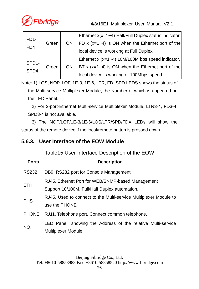

| FD <sub>1</sub> -<br>F <sub>D</sub> <sub>4</sub> | Green | <b>ON</b> | Ethernet x(x=1~4) Half/Full Duplex status indicator.<br>FD x (x=1~4) is ON when the Ethernet port of the<br>local device is working at Full Duplex. |
|--------------------------------------------------|-------|-----------|-----------------------------------------------------------------------------------------------------------------------------------------------------|
| SPD <sub>1</sub> -<br>SPD4                       | Green | ON        | Ethernet x (x=1~4) 10M/100M bps speed indicator.<br>BT x $(x=1-4)$ is ON when the Ethernet port of the<br>local device is working at 100Mbps speed. |

Note: 1) LOS, NOP, LOF, 1E-3, 1E-6, LTR, FD, SPD LEDS shows the status of the Multi-service Multiplexer Module, the Number of which is appeared on the LED Panel.

 2) For 2-port-Ethernet Multi-service Multiplexer Module, LTR3-4, FD3-4, SPD3-4 is not available.

3) The NOP/LOF/1E-3/1E-6/LOS/LTR/SPD/FDX LEDs will show the status of the remote device if the local/remote button is pressed down.

#### **5.6.3. User Interface of the EOW Module**

#### Table15 User Interface Description of the EOW

| <b>Ports</b> | <b>Description</b>                                               |
|--------------|------------------------------------------------------------------|
| <b>RS232</b> | DB9, RS232 port for Console Management                           |
| <b>ETH</b>   | RJ45, Ethernet Port for WEB/SNMP-based Management                |
|              | Support 10/100M, Full/Half Duplex automation.                    |
| <b>PHS</b>   | RJ45, Used to connect to the Multi-service Multiplexer Module to |
|              | use the PHONE                                                    |
| <b>PHONE</b> | RJ11, Telephone port. Connect common telephone.                  |
| INO.         | LED Panel, showing the Address of the relative Multi-service     |
|              | <b>Multiplexer Module</b>                                        |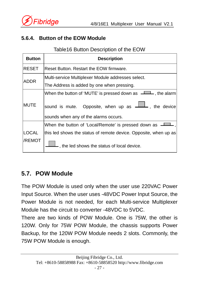

#### **5.6.4. Button of the EOW Module**

#### Table16 Button Description of the EOW

| <b>Button</b>   | <b>Description</b>                                                                                                                                                               |
|-----------------|----------------------------------------------------------------------------------------------------------------------------------------------------------------------------------|
| <b>RESET</b>    | Reset Button, Restart the EOW firmware.                                                                                                                                          |
| ADDR.           | Multi-service Multiplexer Module addresses select.<br>The Address is added by one when pressing.                                                                                 |
| <b>MUTE</b>     | When the button of 'MUTE' is pressed down as <b>ITHE</b> , the alarm<br>, the device<br>sound is mute. Opposite, when up as <b>ITT</b><br>sounds when any of the alarms occurs.  |
| LOCAL<br>/REMOT | When the button of 'Local/Remote' is pressed down as $\equiv$<br>this led shows the status of remote device. Opposite, when up as<br>, the led shows the status of local device. |

#### **5.7. POW Module**

The POW Module is used only when the user use 220VAC Power Input Source. When the user uses -48VDC Power Input Source, the Power Module is not needed, for each Multi-service Multiplexer Module has the circuit to converter -48VDC to 5VDC.

There are two kinds of POW Module. One is 75W, the other is 120W. Only for 75W POW Module, the chassis supports Power Backup, for the 120W POW Module needs 2 slots. Commonly, the 75W POW Module is enough.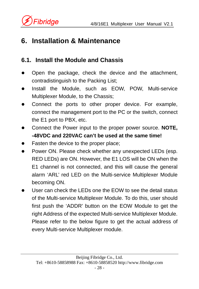

## **6. Installation & Maintenance**

## **6.1. Install the Module and Chassis**

- Open the package, check the device and the attachment, contradistinguish to the Packing List;
- Install the Module, such as EOW, POW, Multi-service Multiplexer Module, to the Chassis;
- Connect the ports to other proper device. For example, connect the management port to the PC or the switch, connect the E1 port to PBX, etc.
- z Connect the Power input to the proper power source. **NOTE, -48VDC and 220VAC can't be used at the same time!**
- Fasten the device to the proper place;
- Power ON. Please check whether any unexpected LEDs (esp. RED LEDs) are ON. However, the E1 LOS will be ON when the E1 channel is not connected, and this will cause the general alarm 'ARL' red LED on the Multi-service Multiplexer Module becoming ON.
- User can check the LEDs one the EOW to see the detail status of the Multi-service Multiplexer Module. To do this, user should first push the 'ADDR' button on the EOW Module to get the right Address of the expected Multi-service Multiplexer Module. Please refer to the below figure to get the actual address of every Multi-service Multiplexer module.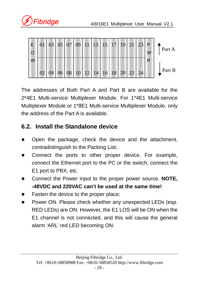



The addresses of Both Part A and Part B are available for the 2\*4E1 Multi-service Multiplexer Module. For 1\*4E1 Multi-service Multiplexer Module or 1\*8E1 Multi-service Multiplexer Module, only the address of the Part A is available.

### **6.2. Install the Standalone device**

- Open the package, check the device and the attachment, contradistinguish to the Packing List;
- Connect the ports to other proper device. For example, connect the Ethernet port to the PC or the switch, connect the E1 port to PBX, etc.
- z Connect the Power input to the proper power source. **NOTE, -48VDC and 220VAC can't be used at the same time!**
- Fasten the device to the proper place;
- Power ON. Please check whether any unexpected LEDs (esp. RED LEDs) are ON. However, the E1 LOS will be ON when the E1 channel is not connected, and this will cause the general alarm 'ARL' red LED becoming ON.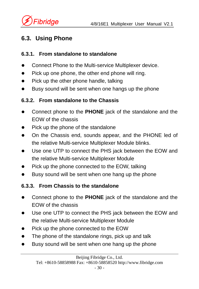

## **6.3. Using Phone**

#### **6.3.1. From standalone to standalone**

- Connect Phone to the Multi-service Multiplexer device.
- $\bullet$  Pick up one phone, the other end phone will ring.
- $\bullet$  Pick up the other phone handle, talking
- Busy sound will be sent when one hangs up the phone

#### **6.3.2. From standalone to the Chassis**

- Connect phone to the **PHONE** jack of the standalone and the EOW of the chassis
- $\bullet$  Pick up the phone of the standalone
- On the Chassis end, sounds appear, and the PHONE led of the relative Multi-service Multiplexer Module blinks.
- Use one UTP to connect the PHS jack between the EOW and the relative Multi-service Multiplexer Module
- Pick up the phone connected to the EOW, talking
- Busy sound will be sent when one hang up the phone

#### **6.3.3. From Chassis to the standalone**

- Connect phone to the **PHONE** jack of the standalone and the EOW of the chassis
- Use one UTP to connect the PHS jack between the EOW and the relative Multi-service Multiplexer Module
- Pick up the phone connected to the EOW
- The phone of the standalone rings, pick up and talk
- Busy sound will be sent when one hang up the phone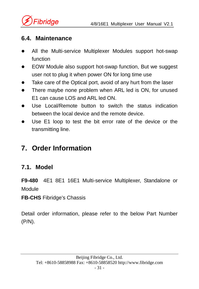

#### **6.4. Maintenance**

- All the Multi-service Multiplexer Modules support hot-swap function
- EOW Module also support hot-swap function, But we suggest user not to plug it when power ON for long time use
- Take care of the Optical port, avoid of any hurt from the laser
- There maybe none problem when ARL led is ON, for unused E1 can cause LOS and ARL led ON.
- Use Local/Remote button to switch the status indication between the local device and the remote device.
- Use E1 loop to test the bit error rate of the device or the transmitting line.

## **7. Order Information**

## **7.1. Model**

**F9-480** 4E1 8E1 16E1 Multi-service Multiplexer, Standalone or Module

**FB-CHS** Fibridge's Chassis

Detail order information, please refer to the below Part Number (P/N).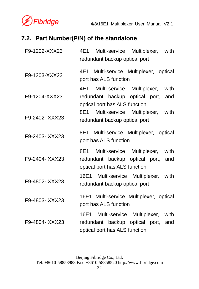

### **7.2. Part Number(P/N) of the standalone**

| F9-1202-XXX23 | 4E1<br>Multi-service Multiplexer,<br>with<br>redundant backup optical port                                            |
|---------------|-----------------------------------------------------------------------------------------------------------------------|
| F9-1203-XXX23 | 4E1 Multi-service Multiplexer, optical<br>port has ALS function                                                       |
| F9-1204-XXX23 | 4E1<br>Multi-service Multiplexer,<br>with<br>redundant backup optical port,<br>and<br>optical port has ALS function   |
| F9-2402-XXX23 | Multi-service Multiplexer,<br>8E1<br>with<br>redundant backup optical port                                            |
| F9-2403-XXX23 | 8E1 Multi-service Multiplexer, optical<br>port has ALS function                                                       |
| F9-2404-XXX23 | Multi-service Multiplexer,<br>8E1  <br>with<br>redundant backup optical port,<br>and<br>optical port has ALS function |
| F9-4802-XXX23 | 16E1 Multi-service Multiplexer,<br>with<br>redundant backup optical port                                              |
| F9-4803-XXX23 | 16E1 Multi-service Multiplexer, optical<br>port has ALS function                                                      |
| F9-4804-XXX23 | 16E1 Multi-service Multiplexer,<br>with<br>redundant backup optical port,<br>and<br>optical port has ALS function     |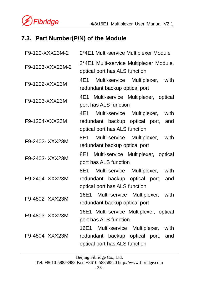

### **7.3. Part Number(P/N) of the Module**

| F9-120-XXX23M-2  | 2*4E1 Multi-service Multiplexer Module                                                                                |
|------------------|-----------------------------------------------------------------------------------------------------------------------|
| F9-1203-XXX23M-2 | 2*4E1 Multi-service Multiplexer Module,<br>optical port has ALS function                                              |
| F9-1202-XXX23M   | Multi-service Multiplexer, with<br>4E1 <b>1</b><br>redundant backup optical port                                      |
| F9-1203-XXX23M   | 4E1 Multi-service Multiplexer, optical<br>port has ALS function                                                       |
| F9-1204-XXX23M   | Multi-service Multiplexer,<br>4E1 -<br>with<br>redundant backup optical port,<br>and<br>optical port has ALS function |
| F9-2402-XXX23M   | Multi-service Multiplexer, with<br>8E1 -<br>redundant backup optical port                                             |
| F9-2403- XXX23M  | 8E1 Multi-service Multiplexer, optical<br>port has ALS function                                                       |
| F9-2404- XXX23M  | Multi-service Multiplexer,<br>8E1 -<br>with<br>redundant backup optical port,<br>and<br>optical port has ALS function |
|                  |                                                                                                                       |
| F9-4802- XXX23M  | 16E1 Multi-service Multiplexer, with<br>redundant backup optical port                                                 |
| F9-4803- XXX23M  | 16E1 Multi-service Multiplexer, optical<br>port has ALS function                                                      |

Beijing Fibridge Co., Ltd.

Tel: +8610-58858988 Fax: +8610-58858520 http://www.fibridge.com